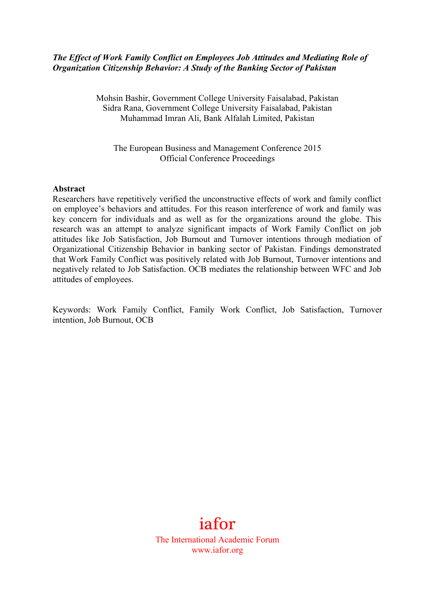## *The Effect of Work Family Conflict on Employees Job Attitudes and Mediating Role of Organization Citizenship Behavior: A Study of the Banking Sector of Pakistan*

Mohsin Bashir, Government College University Faisalabad, Pakistan Sidra Rana, Government College University Faisalabad, Pakistan Muhammad Imran Ali, Bank Alfalah Limited, Pakistan

The European Business and Management Conference 2015 Official Conference Proceedings

#### **Abstract**

Researchers have repetitively verified the unconstructive effects of work and family conflict on employee's behaviors and attitudes. For this reason interference of work and family was key concern for individuals and as well as for the organizations around the globe. This research was an attempt to analyze significant impacts of Work Family Conflict on job attitudes like Job Satisfaction, Job Burnout and Turnover intentions through mediation of Organizational Citizenship Behavior in banking sector of Pakistan. Findings demonstrated that Work Family Conflict was positively related with Job Burnout, Turnover intentions and negatively related to Job Satisfaction. OCB mediates the relationship between WFC and Job attitudes of employees.

Keywords: Work Family Conflict, Family Work Conflict, Job Satisfaction, Turnover intention, Job Burnout, OCB

# iafor

The International Academic Forum www.iafor.org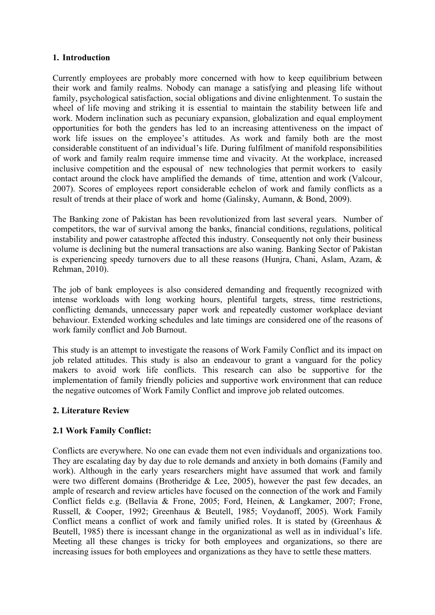## **1. Introduction**

Currently employees are probably more concerned with how to keep equilibrium between their work and family realms. Nobody can manage a satisfying and pleasing life without family, psychological satisfaction, social obligations and divine enlightenment. To sustain the wheel of life moving and striking it is essential to maintain the stability between life and work. Modern inclination such as pecuniary expansion, globalization and equal employment opportunities for both the genders has led to an increasing attentiveness on the impact of work life issues on the employee's attitudes. As work and family both are the most considerable constituent of an individual's life. During fulfilment of manifold responsibilities of work and family realm require immense time and vivacity. At the workplace, increased inclusive competition and the espousal of new technologies that permit workers to easily contact around the clock have amplified the demands of time, attention and work (Valcour, 2007). Scores of employees report considerable echelon of work and family conflicts as a result of trends at their place of work and home (Galinsky, Aumann, & Bond, 2009).

The Banking zone of Pakistan has been revolutionized from last several years. Number of competitors, the war of survival among the banks, financial conditions, regulations, political instability and power catastrophe affected this industry. Consequently not only their business volume is declining but the numeral transactions are also waning. Banking Sector of Pakistan is experiencing speedy turnovers due to all these reasons (Hunjra, Chani, Aslam, Azam, & Rehman, 2010).

The job of bank employees is also considered demanding and frequently recognized with intense workloads with long working hours, plentiful targets, stress, time restrictions, conflicting demands, unnecessary paper work and repeatedly customer workplace deviant behaviour. Extended working schedules and late timings are considered one of the reasons of work family conflict and Job Burnout.

This study is an attempt to investigate the reasons of Work Family Conflict and its impact on job related attitudes. This study is also an endeavour to grant a vanguard for the policy makers to avoid work life conflicts. This research can also be supportive for the implementation of family friendly policies and supportive work environment that can reduce the negative outcomes of Work Family Conflict and improve job related outcomes.

# **2. Literature Review**

# **2.1 Work Family Conflict:**

Conflicts are everywhere. No one can evade them not even individuals and organizations too. They are escalating day by day due to role demands and anxiety in both domains (Family and work). Although in the early years researchers might have assumed that work and family were two different domains (Brotheridge & Lee, 2005), however the past few decades, an ample of research and review articles have focused on the connection of the work and Family Conflict fields e.g. (Bellavia & Frone, 2005; Ford, Heinen, & Langkamer, 2007; Frone, Russell, & Cooper, 1992; Greenhaus & Beutell, 1985; Voydanoff, 2005). Work Family Conflict means a conflict of work and family unified roles. It is stated by (Greenhaus  $\&$ Beutell, 1985) there is incessant change in the organizational as well as in individual's life. Meeting all these changes is tricky for both employees and organizations, so there are increasing issues for both employees and organizations as they have to settle these matters.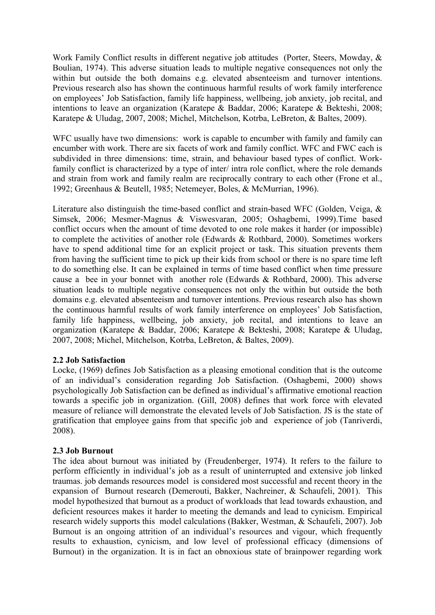Work Family Conflict results in different negative job attitudes (Porter, Steers, Mowday, & Boulian, 1974). This adverse situation leads to multiple negative consequences not only the within but outside the both domains e.g. elevated absenteeism and turnover intentions. Previous research also has shown the continuous harmful results of work family interference on employees' Job Satisfaction, family life happiness, wellbeing, job anxiety, job recital, and intentions to leave an organization (Karatepe & Baddar, 2006; Karatepe & Bekteshi, 2008; Karatepe & Uludag, 2007, 2008; Michel, Mitchelson, Kotrba, LeBreton, & Baltes, 2009).

WFC usually have two dimensions: work is capable to encumber with family and family can encumber with work. There are six facets of work and family conflict. WFC and FWC each is subdivided in three dimensions: time, strain, and behaviour based types of conflict. Workfamily conflict is characterized by a type of inter/ intra role conflict, where the role demands and strain from work and family realm are reciprocally contrary to each other (Frone et al., 1992; Greenhaus & Beutell, 1985; Netemeyer, Boles, & McMurrian, 1996).

Literature also distinguish the time-based conflict and strain-based WFC (Golden, Veiga, & Simsek, 2006; Mesmer-Magnus & Viswesvaran, 2005; Oshagbemi, 1999).Time based conflict occurs when the amount of time devoted to one role makes it harder (or impossible) to complete the activities of another role (Edwards & Rothbard, 2000). Sometimes workers have to spend additional time for an explicit project or task. This situation prevents them from having the sufficient time to pick up their kids from school or there is no spare time left to do something else. It can be explained in terms of time based conflict when time pressure cause a bee in your bonnet with another role (Edwards & Rothbard, 2000). This adverse situation leads to multiple negative consequences not only the within but outside the both domains e.g. elevated absenteeism and turnover intentions. Previous research also has shown the continuous harmful results of work family interference on employees' Job Satisfaction, family life happiness, wellbeing, job anxiety, job recital, and intentions to leave an organization (Karatepe & Baddar, 2006; Karatepe & Bekteshi, 2008; Karatepe & Uludag, 2007, 2008; Michel, Mitchelson, Kotrba, LeBreton, & Baltes, 2009).

# **2.2 Job Satisfaction**

Locke, (1969) defines Job Satisfaction as a pleasing emotional condition that is the outcome of an individual's consideration regarding Job Satisfaction. (Oshagbemi, 2000) shows psychologically Job Satisfaction can be defined as individual's affirmative emotional reaction towards a specific job in organization. (Gill, 2008) defines that work force with elevated measure of reliance will demonstrate the elevated levels of Job Satisfaction. JS is the state of gratification that employee gains from that specific job and experience of job (Tanriverdi, 2008).

#### **2.3 Job Burnout**

The idea about burnout was initiated by (Freudenberger, 1974). It refers to the failure to perform efficiently in individual's job as a result of uninterrupted and extensive job linked traumas. job demands resources model is considered most successful and recent theory in the expansion of Burnout research (Demerouti, Bakker, Nachreiner, & Schaufeli, 2001). This model hypothesized that burnout as a product of workloads that lead towards exhaustion, and deficient resources makes it harder to meeting the demands and lead to cynicism. Empirical research widely supports this model calculations (Bakker, Westman, & Schaufeli, 2007). Job Burnout is an ongoing attrition of an individual's resources and vigour, which frequently results to exhaustion, cynicism, and low level of professional efficacy (dimensions of Burnout) in the organization. It is in fact an obnoxious state of brainpower regarding work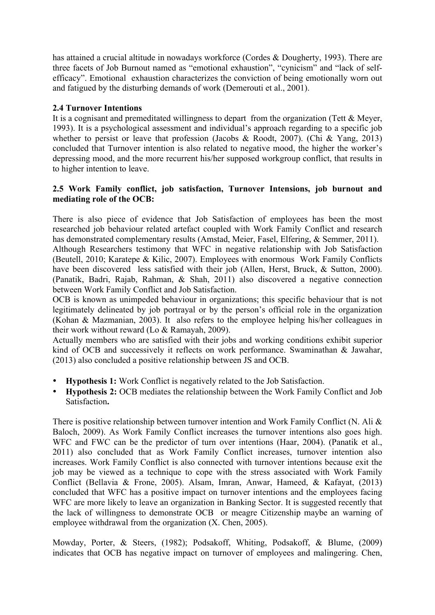has attained a crucial altitude in nowadays workforce (Cordes & Dougherty, 1993). There are three facets of Job Burnout named as "emotional exhaustion", "cynicism" and "lack of selfefficacy". Emotional exhaustion characterizes the conviction of being emotionally worn out and fatigued by the disturbing demands of work (Demerouti et al., 2001).

# **2.4 Turnover Intentions**

It is a cognisant and premeditated willingness to depart from the organization (Tett & Meyer, 1993). It is a psychological assessment and individual's approach regarding to a specific job whether to persist or leave that profession (Jacobs & Roodt, 2007). (Chi & Yang, 2013) concluded that Turnover intention is also related to negative mood, the higher the worker's depressing mood, and the more recurrent his/her supposed workgroup conflict, that results in to higher intention to leave.

#### **2.5 Work Family conflict, job satisfaction, Turnover Intensions, job burnout and mediating role of the OCB:**

There is also piece of evidence that Job Satisfaction of employees has been the most researched job behaviour related artefact coupled with Work Family Conflict and research has demonstrated complementary results (Amstad, Meier, Fasel, Elfering, & Semmer, 2011).

Although Researchers testimony that WFC in negative relationship with Job Satisfaction (Beutell, 2010; Karatepe & Kilic, 2007). Employees with enormous Work Family Conflicts have been discovered less satisfied with their job (Allen, Herst, Bruck, & Sutton, 2000). (Panatik, Badri, Rajab, Rahman, & Shah, 2011) also discovered a negative connection between Work Family Conflict and Job Satisfaction.

OCB is known as unimpeded behaviour in organizations; this specific behaviour that is not legitimately delineated by job portrayal or by the person's official role in the organization (Kohan & Mazmanian, 2003). It also refers to the employee helping his/her colleagues in their work without reward (Lo & Ramayah, 2009).

Actually members who are satisfied with their jobs and working conditions exhibit superior kind of OCB and successively it reflects on work performance. Swaminathan & Jawahar, (2013) also concluded a positive relationship between JS and OCB.

- **Hypothesis 1:** Work Conflict is negatively related to the Job Satisfaction.
- **Hypothesis 2:** OCB mediates the relationship between the Work Family Conflict and Job Satisfaction**.**

There is positive relationship between turnover intention and Work Family Conflict (N. Ali & Baloch, 2009). As Work Family Conflict increases the turnover intentions also goes high. WFC and FWC can be the predictor of turn over intentions (Haar, 2004). (Panatik et al., 2011) also concluded that as Work Family Conflict increases, turnover intention also increases. Work Family Conflict is also connected with turnover intentions because exit the job may be viewed as a technique to cope with the stress associated with Work Family Conflict (Bellavia & Frone, 2005). Alsam, Imran, Anwar, Hameed, & Kafayat, (2013) concluded that WFC has a positive impact on turnover intentions and the employees facing WFC are more likely to leave an organization in Banking Sector. It is suggested recently that the lack of willingness to demonstrate OCB or meagre Citizenship maybe an warning of employee withdrawal from the organization (X. Chen, 2005).

Mowday, Porter, & Steers, (1982); Podsakoff, Whiting, Podsakoff, & Blume, (2009) indicates that OCB has negative impact on turnover of employees and malingering. Chen,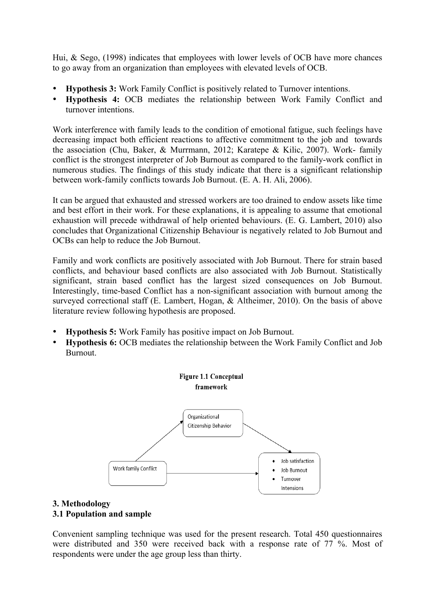Hui, & Sego, (1998) indicates that employees with lower levels of OCB have more chances to go away from an organization than employees with elevated levels of OCB.

- **Hypothesis 3:** Work Family Conflict is positively related to Turnover intentions.
- **Hypothesis 4:** OCB mediates the relationship between Work Family Conflict and turnover intentions.

Work interference with family leads to the condition of emotional fatigue, such feelings have decreasing impact both efficient reactions to affective commitment to the job and towards the association (Chu, Baker, & Murrmann, 2012; Karatepe & Kilic, 2007). Work- family conflict is the strongest interpreter of Job Burnout as compared to the family-work conflict in numerous studies. The findings of this study indicate that there is a significant relationship between work-family conflicts towards Job Burnout. (E. A. H. Ali, 2006).

It can be argued that exhausted and stressed workers are too drained to endow assets like time and best effort in their work. For these explanations, it is appealing to assume that emotional exhaustion will precede withdrawal of help oriented behaviours. (E. G. Lambert, 2010) also concludes that Organizational Citizenship Behaviour is negatively related to Job Burnout and OCBs can help to reduce the Job Burnout.

Family and work conflicts are positively associated with Job Burnout. There for strain based conflicts, and behaviour based conflicts are also associated with Job Burnout. Statistically significant, strain based conflict has the largest sized consequences on Job Burnout. Interestingly, time-based Conflict has a non-significant association with burnout among the surveyed correctional staff (E. Lambert, Hogan, & Altheimer, 2010). On the basis of above literature review following hypothesis are proposed.

- **Hypothesis 5:** Work Family has positive impact on Job Burnout.
- **Hypothesis 6:** OCB mediates the relationship between the Work Family Conflict and Job Burnout.



# **3. Methodology 3.1 Population and sample**

Convenient sampling technique was used for the present research. Total 450 questionnaires were distributed and 350 were received back with a response rate of 77 %. Most of respondents were under the age group less than thirty.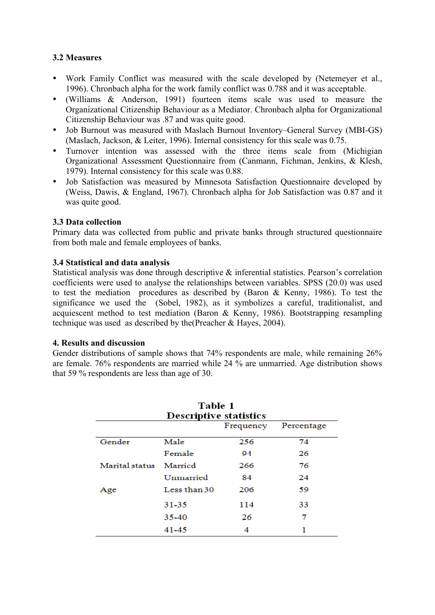# **3.2 Measures**

- Work Family Conflict was measured with the scale developed by (Netemeyer et al., 1996). Chronbach alpha for the work family conflict was 0.788 and it was acceptable.
- (Williams & Anderson, 1991) fourteen items scale was used to measure the Organizational Citizenship Behaviour as a Mediator. Chronbach alpha for Organizational Citizenship Behaviour was .87 and was quite good.
- Job Burnout was measured with Maslach Burnout Inventory–General Survey (MBI-GS) (Maslach, Jackson, & Leiter, 1996). Internal consistency for this scale was 0.75.
- Turnover intention was assessed with the three items scale from (Michigian Organizational Assessment Questionnaire from (Canmann, Fichman, Jenkins, & Klesh, 1979). Internal consistency for this scale was 0.88.
- Job Satisfaction was measured by Minnesota Satisfaction Questionnaire developed by (Weiss, Dawis, & England, 1967). Chronbach alpha for Job Satisfaction was 0.87 and it was quite good.

# **3.3 Data collection**

Primary data was collected from public and private banks through structured questionnaire from both male and female employees of banks.

## **3.4 Statistical and data analysis**

Statistical analysis was done through descriptive & inferential statistics. Pearson's correlation coefficients were used to analyse the relationships between variables. SPSS (20.0) was used to test the mediation procedures as described by (Baron & Kenny, 1986). To test the significance we used the (Sobel, 1982), as it symbolizes a careful, traditionalist, and acquiescent method to test mediation (Baron & Kenny, 1986). Bootstrapping resampling technique was used as described by the(Preacher & Hayes, 2004).

#### **4. Results and discussion**

Gender distributions of sample shows that 74% respondents are male, while remaining 26% are female. 76% respondents are married while 24 % are unmarried. Age distribution shows that 59 % respondents are less than age of 30.

| Table 1<br><b>Descriptive statistics</b> |              |     |    |  |  |  |  |
|------------------------------------------|--------------|-----|----|--|--|--|--|
| Frequency<br>Percentage                  |              |     |    |  |  |  |  |
| Gender                                   | Male         | 256 | 74 |  |  |  |  |
|                                          | Female       | 94  | 26 |  |  |  |  |
| Marital status                           | Married      | 266 | 76 |  |  |  |  |
|                                          | Ummarried    | 84  | 24 |  |  |  |  |
| Age                                      | Less than 30 | 206 | 59 |  |  |  |  |
|                                          | 31-35        | 114 | 33 |  |  |  |  |
|                                          | 35-40        | 26  | 7  |  |  |  |  |
|                                          | 41-45        | 4   | 1  |  |  |  |  |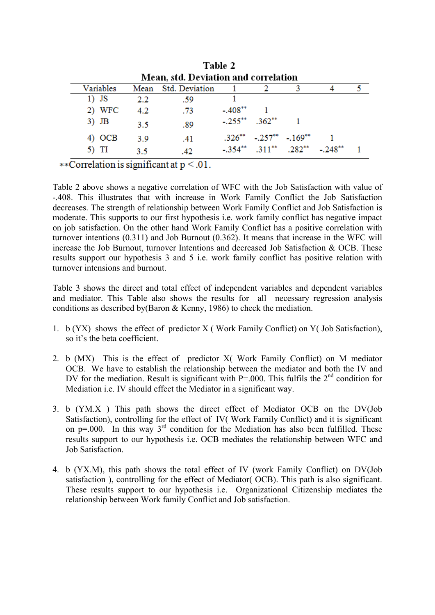| таріе 4                                     |               |     |  |                       |                                   |                                       |                                                      |
|---------------------------------------------|---------------|-----|--|-----------------------|-----------------------------------|---------------------------------------|------------------------------------------------------|
| <b>Mean, std. Deviation and correlation</b> |               |     |  |                       |                                   |                                       |                                                      |
| Variables                                   |               |     |  |                       |                                   |                                       |                                                      |
| $1)$ JS                                     | 2.2           | -59 |  |                       |                                   |                                       |                                                      |
| 2) WFC                                      | $4.2^{\circ}$ | .73 |  |                       |                                   |                                       |                                                      |
| $3)$ JB                                     | 3.5           | .89 |  |                       |                                   |                                       |                                                      |
| 4) OCB                                      | 39            | .41 |  |                       |                                   |                                       |                                                      |
| 5) TI                                       | 3.5           | .42 |  |                       |                                   |                                       |                                                      |
|                                             |               |     |  | Mean Std. Deviation 1 | $-.408**$<br>$-.255***$ $.362***$ | $.326^{**}$ $-.257^{**}$ $-.169^{**}$ | $-0.354^{**}$ $0.311^{**}$ $0.282^{**}$ $0.248^{**}$ |

 $T = 11.7$ 

\*\*Correlation is significant at  $p < 0.01$ .

Table 2 above shows a negative correlation of WFC with the Job Satisfaction with value of -.408. This illustrates that with increase in Work Family Conflict the Job Satisfaction decreases. The strength of relationship between Work Family Conflict and Job Satisfaction is moderate. This supports to our first hypothesis i.e. work family conflict has negative impact on job satisfaction. On the other hand Work Family Conflict has a positive correlation with turnover intentions (0.311) and Job Burnout (0.362). It means that increase in the WFC will increase the Job Burnout, turnover Intentions and decreased Job Satisfaction & OCB. These results support our hypothesis 3 and 5 i.e. work family conflict has positive relation with turnover intensions and burnout.

Table 3 shows the direct and total effect of independent variables and dependent variables and mediator. This Table also shows the results for all necessary regression analysis conditions as described by(Baron & Kenny, 1986) to check the mediation.

- 1. b (YX) shows the effect of predictor X ( Work Family Conflict) on Y( Job Satisfaction), so it's the beta coefficient.
- 2. b (MX) This is the effect of predictor X( Work Family Conflict) on M mediator OCB. We have to establish the relationship between the mediator and both the IV and DV for the mediation. Result is significant with  $P = .000$ . This fulfils the  $2<sup>nd</sup>$  condition for Mediation i.e. IV should effect the Mediator in a significant way.
- 3. b (YM.X ) This path shows the direct effect of Mediator OCB on the DV(Job Satisfaction), controlling for the effect of IV( Work Family Conflict) and it is significant on  $p=0.00$ . In this way  $3^{rd}$  condition for the Mediation has also been fulfilled. These results support to our hypothesis i.e. OCB mediates the relationship between WFC and Job Satisfaction.
- 4. b (YX.M), this path shows the total effect of IV (work Family Conflict) on DV(Job satisfaction ), controlling for the effect of Mediator( OCB). This path is also significant. These results support to our hypothesis i.e. Organizational Citizenship mediates the relationship between Work family Conflict and Job satisfaction.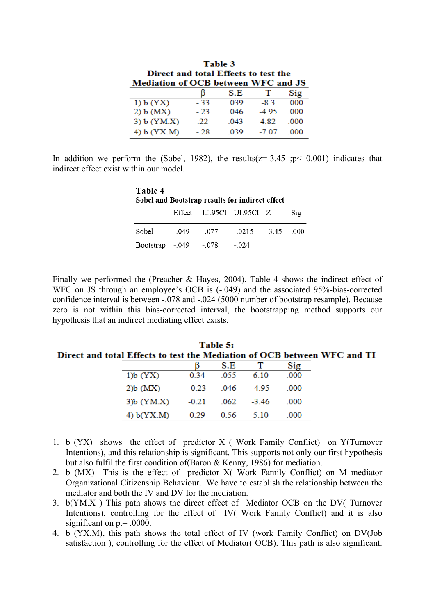| Table 3<br>Direct and total Effects to test the |       |      |        |      |  |  |
|-------------------------------------------------|-------|------|--------|------|--|--|
| Mediation of OCB between WFC and JS             |       |      |        |      |  |  |
|                                                 |       | S.E  | Ŧ      | Sig  |  |  |
| 1) b (YX)                                       | $-33$ | .039 | $-8.3$ | -000 |  |  |
| 2) b (MX)                                       | $-23$ | -046 | $-495$ | -000 |  |  |
| 3) b (YM.X)                                     | -22   | .043 | 4.82   | -000 |  |  |
| 4) $b$ (YX.M)                                   | - 28  | -039 | -7.07  |      |  |  |

In addition we perform the (Sobel, 1982), the results( $z=-3.45$ ;  $p< 0.001$ ) indicates that indirect effect exist within our model.

| Table 4<br>Sobel and Bootstrap results for indirect effect |         |                        |                         |  |                           |  |  |
|------------------------------------------------------------|---------|------------------------|-------------------------|--|---------------------------|--|--|
|                                                            |         | Effect LL95CI UL95CI Z |                         |  | $\mathrm{Si}\mathfrak{g}$ |  |  |
| Sobel                                                      | $-.049$ | $-077$                 | $-0.215 - 3.45 = 0.000$ |  |                           |  |  |
| Bootstrap -.049 -.078                                      |         |                        | $-.024$                 |  |                           |  |  |

Finally we performed the (Preacher & Hayes, 2004). Table 4 shows the indirect effect of WFC on JS through an employee's OCB is  $(-.049)$  and the associated 95%-bias-corrected confidence interval is between -.078 and -.024 (5000 number of bootstrap resample). Because zero is not within this bias-corrected interval, the bootstrapping method supports our hypothesis that an indirect mediating effect exists.

|                                                                          |               |                | Table 5:         |       |  |
|--------------------------------------------------------------------------|---------------|----------------|------------------|-------|--|
| Direct and total Effects to test the Mediation of OCB between WFC and TI |               |                |                  |       |  |
|                                                                          |               |                | S.E T            | Sig   |  |
|                                                                          | $1)$ b $(YX)$ | 0.34 0.55 6.10 |                  | - 000 |  |
|                                                                          | $2b$ (MX)     |                | -0.23 .046 -4.95 | - 000 |  |

 $.062$ 

0.56

 $-3.46$ 

5.10

.000

 $.000$ 

 $-0.21$ 

 $0.29$ 

 $3)b$   $(YM.X)$ 

4)  $b(YX.M)$ 

| Table 5:                                                                 |  |
|--------------------------------------------------------------------------|--|
| Direct and total Effects to test the Mediation of OCB between WFC and TI |  |

- 1. b (YX) shows the effect of predictor X ( Work Family Conflict) on Y(Turnover Intentions), and this relationship is significant. This supports not only our first hypothesis but also fulfil the first condition of(Baron & Kenny, 1986) for mediation.
- 2. b (MX) This is the effect of predictor X( Work Family Conflict) on M mediator Organizational Citizenship Behaviour. We have to establish the relationship between the mediator and both the IV and DV for the mediation.
- 3. b(YM.X ) This path shows the direct effect of Mediator OCB on the DV( Turnover Intentions), controlling for the effect of IV( Work Family Conflict) and it is also significant on  $p = .0000$ .
- 4. b (YX.M), this path shows the total effect of IV (work Family Conflict) on DV(Job satisfaction ), controlling for the effect of Mediator( OCB). This path is also significant.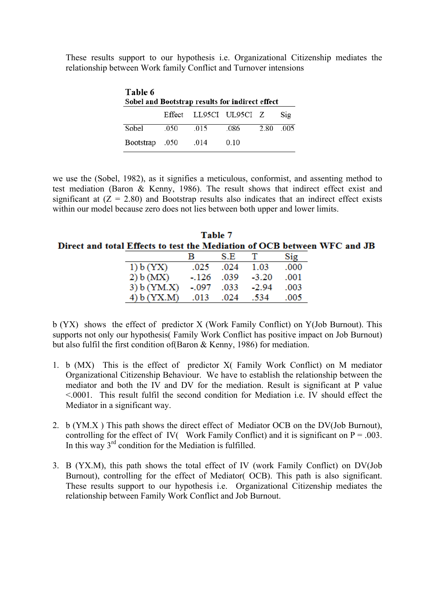These results support to our hypothesis i.e. Organizational Citizenship mediates the relationship between Work family Conflict and Turnover intensions

| Table 6<br>Sobel and Bootstrap results for indirect effect |      |                        |      |      |                 |  |  |
|------------------------------------------------------------|------|------------------------|------|------|-----------------|--|--|
|                                                            |      | Effect LL95CI UL95CI Z |      |      | Si <sub>2</sub> |  |  |
| Sobel                                                      | -050 | 015                    | -086 | 2.80 | - 005           |  |  |
| 050. Bootstrap                                             |      | .014                   | 0.10 |      |                 |  |  |

we use the (Sobel, 1982), as it signifies a meticulous, conformist, and assenting method to test mediation (Baron & Kenny, 1986). The result shows that indirect effect exist and significant at  $(Z = 2.80)$  and Bootstrap results also indicates that an indirect effect exists within our model because zero does not lies between both upper and lower limits.

| Table 7                                                                  |  |
|--------------------------------------------------------------------------|--|
| Direct and total Effects to test the Mediation of OCB between WFC and JB |  |

|             | в       | S.E  | $\mathbf{T}$ | Sig  |
|-------------|---------|------|--------------|------|
| 1) b (YX)   | .025    | .024 | 1.03         | .000 |
| 2) b (MX)   | $-.126$ | .039 | $-3.20$      | .001 |
| 3) b (YM.X) | $-.097$ | .033 | $-2.94$      | .003 |
| 4) b (YX.M) | .013    | .024 | .534         | .005 |

b (YX) shows the effect of predictor X (Work Family Conflict) on Y(Job Burnout). This supports not only our hypothesis( Family Work Conflict has positive impact on Job Burnout) but also fulfil the first condition of(Baron & Kenny, 1986) for mediation.

- 1. b (MX) This is the effect of predictor X( Family Work Conflict) on M mediator Organizational Citizenship Behaviour. We have to establish the relationship between the mediator and both the IV and DV for the mediation. Result is significant at P value <.0001. This result fulfil the second condition for Mediation i.e. IV should effect the Mediator in a significant way.
- 2. b (YM.X ) This path shows the direct effect of Mediator OCB on the DV(Job Burnout), controlling for the effect of IV( Work Family Conflict) and it is significant on  $P = .003$ . In this way  $3<sup>rd</sup>$  condition for the Mediation is fulfilled.
- 3. B (YX.M), this path shows the total effect of IV (work Family Conflict) on DV(Job Burnout), controlling for the effect of Mediator( OCB). This path is also significant. These results support to our hypothesis i.e. Organizational Citizenship mediates the relationship between Family Work Conflict and Job Burnout.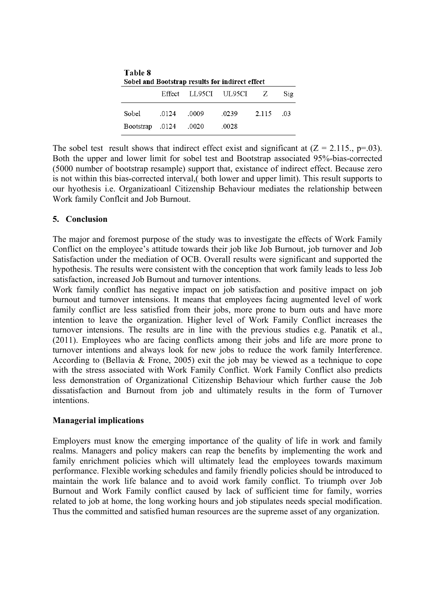| Table 8<br>Sobel and Bootstrap results for indirect effect |       |       |                        |       |                 |  |  |  |
|------------------------------------------------------------|-------|-------|------------------------|-------|-----------------|--|--|--|
|                                                            |       |       | Effect LL95CI UL95CI Z |       | Si <sub>2</sub> |  |  |  |
| Sobel                                                      | .0124 | .0009 | .0239                  | 2.115 | -03             |  |  |  |
| 0124. Bootstrap                                            |       | .0020 | .0028                  |       |                 |  |  |  |

The sobel test result shows that indirect effect exist and significant at  $(Z = 2.115, p = .03)$ . Both the upper and lower limit for sobel test and Bootstrap associated 95%-bias-corrected (5000 number of bootstrap resample) support that, existance of indirect effect. Because zero is not within this bias-corrected interval,( both lower and upper limit). This result supports to our hyothesis i.e. Organizatioanl Citizenship Behaviour mediates the relationship between Work family Conflcit and Job Burnout.

# **5. Conclusion**

The major and foremost purpose of the study was to investigate the effects of Work Family Conflict on the employee's attitude towards their job like Job Burnout, job turnover and Job Satisfaction under the mediation of OCB. Overall results were significant and supported the hypothesis. The results were consistent with the conception that work family leads to less Job satisfaction, increased Job Burnout and turnover intentions.

Work family conflict has negative impact on job satisfaction and positive impact on job burnout and turnover intensions. It means that employees facing augmented level of work family conflict are less satisfied from their jobs, more prone to burn outs and have more intention to leave the organization. Higher level of Work Family Conflict increases the turnover intensions. The results are in line with the previous studies e.g. Panatik et al., (2011). Employees who are facing conflicts among their jobs and life are more prone to turnover intentions and always look for new jobs to reduce the work family Interference. According to (Bellavia & Frone, 2005) exit the job may be viewed as a technique to cope with the stress associated with Work Family Conflict. Work Family Conflict also predicts less demonstration of Organizational Citizenship Behaviour which further cause the Job dissatisfaction and Burnout from job and ultimately results in the form of Turnover intentions.

#### **Managerial implications**

Employers must know the emerging importance of the quality of life in work and family realms. Managers and policy makers can reap the benefits by implementing the work and family enrichment policies which will ultimately lead the employees towards maximum performance. Flexible working schedules and family friendly policies should be introduced to maintain the work life balance and to avoid work family conflict. To triumph over Job Burnout and Work Family conflict caused by lack of sufficient time for family, worries related to job at home, the long working hours and job stipulates needs special modification. Thus the committed and satisfied human resources are the supreme asset of any organization.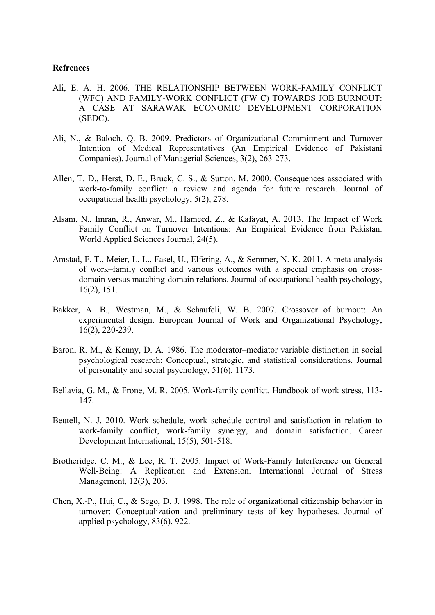#### **Refrences**

- Ali, E. A. H. 2006. THE RELATIONSHIP BETWEEN WORK-FAMILY CONFLICT (WFC) AND FAMILY-WORK CONFLICT (FW C) TOWARDS JOB BURNOUT: A CASE AT SARAWAK ECONOMIC DEVELOPMENT CORPORATION (SEDC).
- Ali, N., & Baloch, Q. B. 2009. Predictors of Organizational Commitment and Turnover Intention of Medical Representatives (An Empirical Evidence of Pakistani Companies). Journal of Managerial Sciences, 3(2), 263-273.
- Allen, T. D., Herst, D. E., Bruck, C. S., & Sutton, M. 2000. Consequences associated with work-to-family conflict: a review and agenda for future research. Journal of occupational health psychology, 5(2), 278.
- Alsam, N., Imran, R., Anwar, M., Hameed, Z., & Kafayat, A. 2013. The Impact of Work Family Conflict on Turnover Intentions: An Empirical Evidence from Pakistan. World Applied Sciences Journal, 24(5).
- Amstad, F. T., Meier, L. L., Fasel, U., Elfering, A., & Semmer, N. K. 2011. A meta-analysis of work–family conflict and various outcomes with a special emphasis on crossdomain versus matching-domain relations. Journal of occupational health psychology, 16(2), 151.
- Bakker, A. B., Westman, M., & Schaufeli, W. B. 2007. Crossover of burnout: An experimental design. European Journal of Work and Organizational Psychology, 16(2), 220-239.
- Baron, R. M., & Kenny, D. A. 1986. The moderator–mediator variable distinction in social psychological research: Conceptual, strategic, and statistical considerations. Journal of personality and social psychology, 51(6), 1173.
- Bellavia, G. M., & Frone, M. R. 2005. Work-family conflict. Handbook of work stress, 113- 147.
- Beutell, N. J. 2010. Work schedule, work schedule control and satisfaction in relation to work-family conflict, work-family synergy, and domain satisfaction. Career Development International, 15(5), 501-518.
- Brotheridge, C. M., & Lee, R. T. 2005. Impact of Work-Family Interference on General Well-Being: A Replication and Extension. International Journal of Stress Management, 12(3), 203.
- Chen, X.-P., Hui, C., & Sego, D. J. 1998. The role of organizational citizenship behavior in turnover: Conceptualization and preliminary tests of key hypotheses. Journal of applied psychology, 83(6), 922.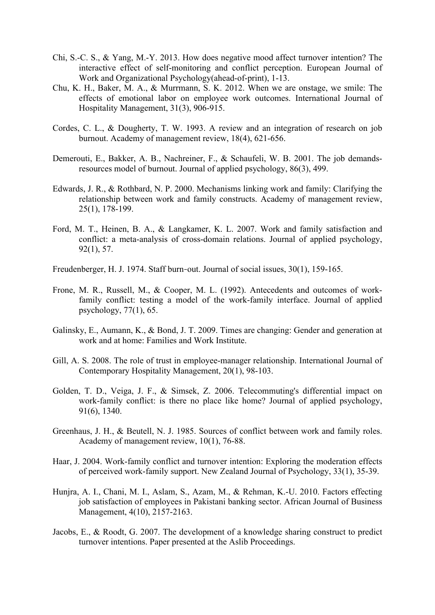- Chi, S.-C. S., & Yang, M.-Y. 2013. How does negative mood affect turnover intention? The interactive effect of self-monitoring and conflict perception. European Journal of Work and Organizational Psychology(ahead-of-print), 1-13.
- Chu, K. H., Baker, M. A., & Murrmann, S. K. 2012. When we are onstage, we smile: The effects of emotional labor on employee work outcomes. International Journal of Hospitality Management, 31(3), 906-915.
- Cordes, C. L., & Dougherty, T. W. 1993. A review and an integration of research on job burnout. Academy of management review, 18(4), 621-656.
- Demerouti, E., Bakker, A. B., Nachreiner, F., & Schaufeli, W. B. 2001. The job demandsresources model of burnout. Journal of applied psychology, 86(3), 499.
- Edwards, J. R., & Rothbard, N. P. 2000. Mechanisms linking work and family: Clarifying the relationship between work and family constructs. Academy of management review, 25(1), 178-199.
- Ford, M. T., Heinen, B. A., & Langkamer, K. L. 2007. Work and family satisfaction and conflict: a meta-analysis of cross-domain relations. Journal of applied psychology, 92(1), 57.
- Freudenberger, H. J. 1974. Staff burn-out. Journal of social issues,  $30(1)$ , 159-165.
- Frone, M. R., Russell, M., & Cooper, M. L. (1992). Antecedents and outcomes of workfamily conflict: testing a model of the work-family interface. Journal of applied psychology, 77(1), 65.
- Galinsky, E., Aumann, K., & Bond, J. T. 2009. Times are changing: Gender and generation at work and at home: Families and Work Institute.
- Gill, A. S. 2008. The role of trust in employee-manager relationship. International Journal of Contemporary Hospitality Management, 20(1), 98-103.
- Golden, T. D., Veiga, J. F., & Simsek, Z. 2006. Telecommuting's differential impact on work-family conflict: is there no place like home? Journal of applied psychology, 91(6), 1340.
- Greenhaus, J. H., & Beutell, N. J. 1985. Sources of conflict between work and family roles. Academy of management review, 10(1), 76-88.
- Haar, J. 2004. Work-family conflict and turnover intention: Exploring the moderation effects of perceived work-family support. New Zealand Journal of Psychology, 33(1), 35-39.
- Hunjra, A. I., Chani, M. I., Aslam, S., Azam, M., & Rehman, K.-U. 2010. Factors effecting job satisfaction of employees in Pakistani banking sector. African Journal of Business Management, 4(10), 2157-2163.
- Jacobs, E., & Roodt, G. 2007. The development of a knowledge sharing construct to predict turnover intentions. Paper presented at the Aslib Proceedings.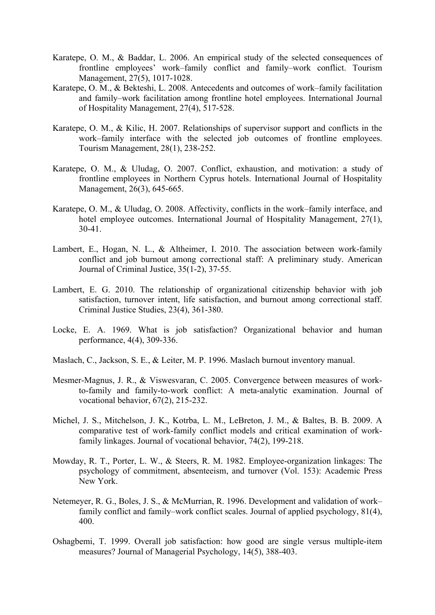- Karatepe, O. M., & Baddar, L. 2006. An empirical study of the selected consequences of frontline employees' work–family conflict and family–work conflict. Tourism Management, 27(5), 1017-1028.
- Karatepe, O. M., & Bekteshi, L. 2008. Antecedents and outcomes of work–family facilitation and family–work facilitation among frontline hotel employees. International Journal of Hospitality Management, 27(4), 517-528.
- Karatepe, O. M., & Kilic, H. 2007. Relationships of supervisor support and conflicts in the work–family interface with the selected job outcomes of frontline employees. Tourism Management, 28(1), 238-252.
- Karatepe, O. M., & Uludag, O. 2007. Conflict, exhaustion, and motivation: a study of frontline employees in Northern Cyprus hotels. International Journal of Hospitality Management, 26(3), 645-665.
- Karatepe, O. M., & Uludag, O. 2008. Affectivity, conflicts in the work–family interface, and hotel employee outcomes. International Journal of Hospitality Management, 27(1), 30-41.
- Lambert, E., Hogan, N. L., & Altheimer, I. 2010. The association between work-family conflict and job burnout among correctional staff: A preliminary study. American Journal of Criminal Justice, 35(1-2), 37-55.
- Lambert, E. G. 2010. The relationship of organizational citizenship behavior with job satisfaction, turnover intent, life satisfaction, and burnout among correctional staff. Criminal Justice Studies, 23(4), 361-380.
- Locke, E. A. 1969. What is job satisfaction? Organizational behavior and human performance, 4(4), 309-336.
- Maslach, C., Jackson, S. E., & Leiter, M. P. 1996. Maslach burnout inventory manual.
- Mesmer-Magnus, J. R., & Viswesvaran, C. 2005. Convergence between measures of workto-family and family-to-work conflict: A meta-analytic examination. Journal of vocational behavior, 67(2), 215-232.
- Michel, J. S., Mitchelson, J. K., Kotrba, L. M., LeBreton, J. M., & Baltes, B. B. 2009. A comparative test of work-family conflict models and critical examination of workfamily linkages. Journal of vocational behavior, 74(2), 199-218.
- Mowday, R. T., Porter, L. W., & Steers, R. M. 1982. Employee-organization linkages: The psychology of commitment, absenteeism, and turnover (Vol. 153): Academic Press New York.
- Netemeyer, R. G., Boles, J. S., & McMurrian, R. 1996. Development and validation of work– family conflict and family–work conflict scales. Journal of applied psychology, 81(4), 400.
- Oshagbemi, T. 1999. Overall job satisfaction: how good are single versus multiple-item measures? Journal of Managerial Psychology, 14(5), 388-403.